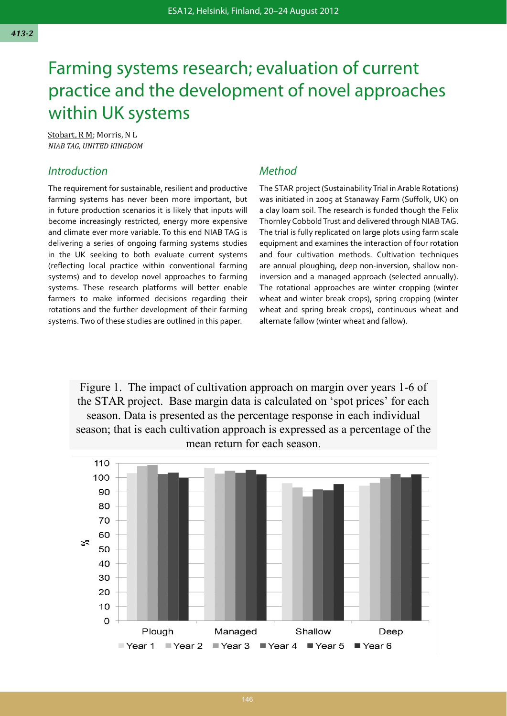# Farming systems research; evaluation of current practice and the development of novel approaches within UK systems

Stobart, R M; Morris, N L *NIAB TAG, UNITED KINGDOM* 

### **Introduction**

The requirement for sustainable, resilient and productive farming systems has never been more important, but in future production scenarios it is likely that inputs will become increasingly restricted, energy more expensive and climate ever more variable. To this end NIAB TAG is delivering a series of ongoing farming systems studies in the UK seeking to both evaluate current systems (reflecting local practice within conventional farming systems) and to develop novel approaches to farming systems. These research platforms will better enable farmers to make informed decisions regarding their rotations and the further development of their farming systems. Two of these studies are outlined in this paper.

## Method

The STAR project (Sustainability Trial in Arable Rotations) was initiated in 2005 at Stanaway Farm (Suffolk, UK) on a clay loam soil. The research is funded though the Felix Thornley Cobbold Trust and delivered through NIAB TAG. The trial is fully replicated on large plots using farm scale equipment and examines the interaction of four rotation and four cultivation methods. Cultivation techniques are annual ploughing, deep non-inversion, shallow noninversion and a managed approach (selected annually). The rotational approaches are winter cropping (winter wheat and winter break crops), spring cropping (winter wheat and spring break crops), continuous wheat and alternate fallow (winter wheat and fallow).

Figure 1. The impact of cultivation approach on margin over years 1-6 of the STAR project. Base margin data is calculated on 'spot prices' for each season. Data is presented as the percentage response in each individual season; that is each cultivation approach is expressed as a percentage of the mean return for each season.